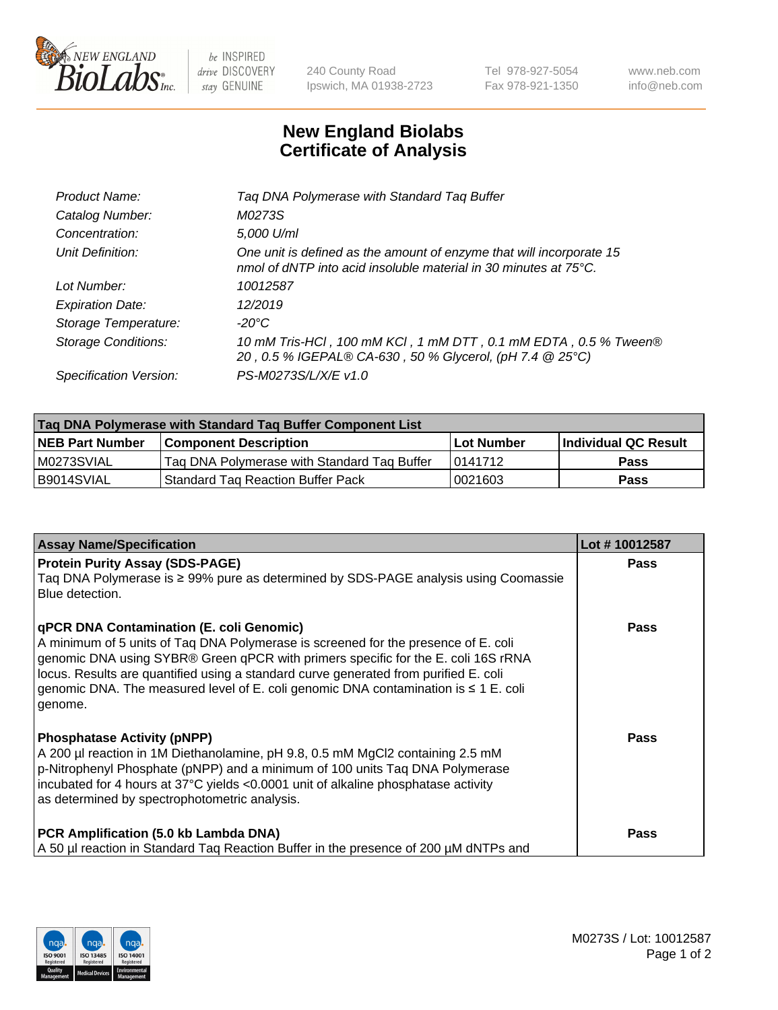

 $be$  INSPIRED drive DISCOVERY stay GENUINE

240 County Road Ipswich, MA 01938-2723 Tel 978-927-5054 Fax 978-921-1350 www.neb.com info@neb.com

## **New England Biolabs Certificate of Analysis**

| Tag DNA Polymerase with Standard Tag Buffer                                                                                              |
|------------------------------------------------------------------------------------------------------------------------------------------|
| M0273S                                                                                                                                   |
| 5,000 U/ml                                                                                                                               |
| One unit is defined as the amount of enzyme that will incorporate 15<br>nmol of dNTP into acid insoluble material in 30 minutes at 75°C. |
| 10012587                                                                                                                                 |
| 12/2019                                                                                                                                  |
| $-20^{\circ}$ C                                                                                                                          |
| 10 mM Tris-HCl, 100 mM KCl, 1 mM DTT, 0.1 mM EDTA, 0.5 % Tween®<br>20, 0.5 % IGEPAL® CA-630, 50 % Glycerol, (pH 7.4 @ 25°C)              |
| PS-M0273S/L/X/E v1.0                                                                                                                     |
|                                                                                                                                          |

| Taq DNA Polymerase with Standard Taq Buffer Component List |                                             |                   |                      |  |  |
|------------------------------------------------------------|---------------------------------------------|-------------------|----------------------|--|--|
| <b>NEB Part Number</b>                                     | Component Description_                      | <b>Lot Number</b> | Individual QC Result |  |  |
| M0273SVIAL                                                 | Tag DNA Polymerase with Standard Tag Buffer | 10141712          | <b>Pass</b>          |  |  |
| B9014SVIAL                                                 | Standard Tag Reaction Buffer Pack           | 0021603           | Pass                 |  |  |

| <b>Assay Name/Specification</b>                                                                                                                                                                                                                                                                                                                                                                               | Lot #10012587 |
|---------------------------------------------------------------------------------------------------------------------------------------------------------------------------------------------------------------------------------------------------------------------------------------------------------------------------------------------------------------------------------------------------------------|---------------|
| <b>Protein Purity Assay (SDS-PAGE)</b><br>Taq DNA Polymerase is ≥ 99% pure as determined by SDS-PAGE analysis using Coomassie<br>Blue detection.                                                                                                                                                                                                                                                              | <b>Pass</b>   |
| qPCR DNA Contamination (E. coli Genomic)<br>A minimum of 5 units of Taq DNA Polymerase is screened for the presence of E. coli<br>genomic DNA using SYBR® Green qPCR with primers specific for the E. coli 16S rRNA<br>locus. Results are quantified using a standard curve generated from purified E. coli<br>genomic DNA. The measured level of E. coli genomic DNA contamination is ≤ 1 E. coli<br>genome. | <b>Pass</b>   |
| <b>Phosphatase Activity (pNPP)</b><br>A 200 µl reaction in 1M Diethanolamine, pH 9.8, 0.5 mM MgCl2 containing 2.5 mM<br>p-Nitrophenyl Phosphate (pNPP) and a minimum of 100 units Taq DNA Polymerase<br>incubated for 4 hours at 37°C yields <0.0001 unit of alkaline phosphatase activity<br>as determined by spectrophotometric analysis.                                                                   | Pass          |
| PCR Amplification (5.0 kb Lambda DNA)<br>A 50 µl reaction in Standard Taq Reaction Buffer in the presence of 200 µM dNTPs and                                                                                                                                                                                                                                                                                 | <b>Pass</b>   |